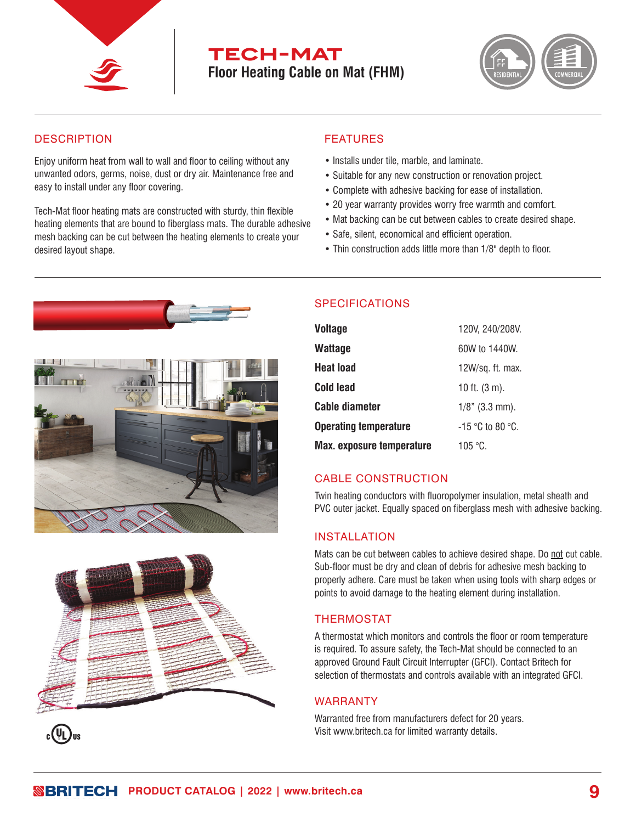

# **tech-mat Floor Heating Cable on Mat (FHM)**



## **DESCRIPTION**

Enjoy uniform heat from wall to wall and floor to ceiling without any unwanted odors, germs, noise, dust or dry air. Maintenance free and easy to install under any floor covering.

Tech-Mat floor heating mats are constructed with sturdy, thin flexible heating elements that are bound to fiberglass mats. The durable adhesive mesh backing can be cut between the heating elements to create your desired layout shape.

#### FEATURES

- Installs under tile, marble, and laminate.
- Suitable for any new construction or renovation project.
- Complete with adhesive backing for ease of installation.
- 20 year warranty provides worry free warmth and comfort.
- Mat backing can be cut between cables to create desired shape.
- Safe, silent, economical and efficient operation.
- Thin construction adds little more than 1/8" depth to floor.







## SPECIFICATIONS

| <b>Voltage</b>                   | 120V, 240/208V.          |
|----------------------------------|--------------------------|
| <b>Wattage</b>                   | 60W to 1440W.            |
| <b>Heat load</b>                 | $12W/sq.$ ft. max.       |
| <b>Cold lead</b>                 | 10 ft. $(3 \text{ m})$ . |
| <b>Cable diameter</b>            | $1/8$ " (3.3 mm).        |
| <b>Operating temperature</b>     | $-15$ °C to 80 °C.       |
| <b>Max. exposure temperature</b> | 105 °C.                  |

## CABLE CONSTRUCTION

Twin heating conductors with fluoropolymer insulation, metal sheath and **59**PVC outer jacket. Equally spaced on fiberglass mesh with adhesive backing.

#### INSTALLATION

Mats can be cut between cables to achieve desired shape. Do not cut cable. Sub-floor must be dry and clean of debris for adhesive mesh backing to properly adhere. Care must be taken when using tools with sharp edges or points to avoid damage to the heating element during installation.

## THERMOSTAT

A thermostat which monitors and controls the floor or room temperature is required. To assure safety, the Tech-Mat should be connected to an approved Ground Fault Circuit Interrupter (GFCI). Contact Britech for selection of thermostats and controls available with an integrated GFCI.

## WARRANTY

Warranted free from manufacturers defect for 20 years. Visit www.britech.ca for limited warranty details.